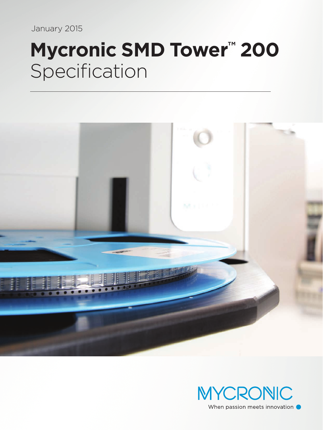January 2015

# **Mycronic SMD Tower™ 200** Specification



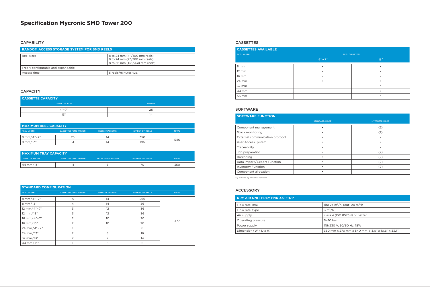## CASSETTES

# **Specification Mycronic SMD Tower 200**

### **CAPABILITY**

| <b>CASSETTES AVAILABLE</b> |                       |           |  |
|----------------------------|-----------------------|-----------|--|
| <b>REEL WIDTH</b>          | <b>REEL DIAMETERS</b> |           |  |
|                            | $4" - 7"$             | 13"       |  |
| 8 mm                       | ٠                     | ٠         |  |
| 12 mm                      |                       |           |  |
| 16 mm                      | ٠                     | ٠         |  |
| 24 mm                      |                       |           |  |
| 32 mm                      |                       | $\bullet$ |  |
| 44 mm                      |                       |           |  |
| 56 mm                      |                       | $\bullet$ |  |

| <b>RANDOM ACCESS STORAGE SYSTEM FOR SMD REELS</b> |                                                                                               |  |
|---------------------------------------------------|-----------------------------------------------------------------------------------------------|--|
| Reel sizes                                        | 8 to 24 mm (4"/100 mm reels)<br>8 to 24 mm (7"/180 mm reels)<br>8 to 56 mm (13"/330 mm reels) |  |
| Freely configurable and expandable                |                                                                                               |  |
| Access time                                       | 5 reels/minutes typ.                                                                          |  |

| <b>SOFTWARE FUNCTION</b>        |                      |                      |  |
|---------------------------------|----------------------|----------------------|--|
|                                 | <b>STANDARD MODE</b> | <b>MYCENTER MODE</b> |  |
| Component management            |                      | (2)                  |  |
| Stock monitoring                |                      | (2)                  |  |
| External communication protocol |                      |                      |  |
| User Access System              |                      |                      |  |
| Traceability                    |                      |                      |  |
| Job preparation                 |                      | (2)                  |  |
| Barcoding                       |                      | (2)                  |  |
| Data Import/Export Function     |                      | (2)                  |  |
| <b>Inventory Function</b>       |                      | (2)                  |  |
| Component allocation            |                      |                      |  |

(2) Handled by MYCenter software.

### SOFTWARE

| <b>STANDARD CONFIGURATION</b> |                            |                       |                        |              |
|-------------------------------|----------------------------|-----------------------|------------------------|--------------|
| <b>REEL WIDTH</b>             | <b>CASSETTES/SMD TOWER</b> | <b>REELS/CASSETTE</b> | <b>NUMBER OF REELS</b> | <b>TOTAL</b> |
| 8 mm/4"-7"                    | 19                         | 14                    | 266                    |              |
| 8 mm/13"                      | 4                          | 14                    | 56                     |              |
| 12 mm/4"-7"                   | 3                          | 12                    | 36                     |              |
| 12 mm/13"                     | 3                          | 12                    | 36                     |              |
| 16 mm/4"-7"                   | 2                          | 10                    | 20                     | 477          |
| 16 mm/13"                     | $\overline{2}$             | 10                    | 20                     |              |
| 24 mm/4"-7"                   |                            | 8                     | 8                      |              |
| 24 mm/13"                     | 2                          | 8                     | 16                     |              |
| 32 mm/13"                     | 2                          | 7                     | 14                     |              |
| 44 mm/13"                     |                            | 5                     | 5                      |              |

| <b>MAXIMUM REEL CAPACITY</b> |                              |                       |                        |              |
|------------------------------|------------------------------|-----------------------|------------------------|--------------|
| <b>REEL WIDTH</b>            | <b>CASSETTES / SMD TOWER</b> | <b>REELS/CASSETTE</b> | <b>NUMBER OF REELS</b> | <b>TOTAL</b> |
| $8 \text{ mm} / 4" - 7"$     | 25                           |                       | 350                    |              |
| $3$ mm/13"                   | ١۷                           |                       | 196                    | 546          |

| <b>MAXIMUM TRAY CAPACITY</b> |                              |                              |                        |              |
|------------------------------|------------------------------|------------------------------|------------------------|--------------|
| <b>CASSETTE WIDTH</b>        | <b>CASSETTES / SMD TOWER</b> | <b>TRAY BOXES / CASSETTE</b> | <b>NUMBER OF TRAYS</b> | <b>TOTAL</b> |
| 44 mm/13"                    |                              |                              |                        | 350          |

| <b>CASSETTE CAPACITY</b> |               |  |
|--------------------------|---------------|--|
| <b>CASSETTE TYPE</b>     | <b>NUMBER</b> |  |
| $A'' - 7''$              | 25            |  |
| 13"                      | ∣∠⊥           |  |

# CAPACITY

| DRY AIR UNIT FREY FND 3.0 F-DP    |                                                  |
|-----------------------------------|--------------------------------------------------|
| Flow rate, max                    | (in) 24 $\rm m^3/h$ , (out) 20 $\rm m^3/h$       |
| Flow rate, type                   | $3 \text{ m}^3/h$                                |
| Air supply                        | class 4 (ISO 8573-1) or better                   |
| Operating pressure                | $5-10$ bar                                       |
| Power supply                      | 115/230 V, 50/60 Hz, 18W                         |
| Dimension $(W \times D \times H)$ | 330 mm x 270 mm x 840 mm (13.0" x 10.6" x 33.1") |

# ACCESSORY